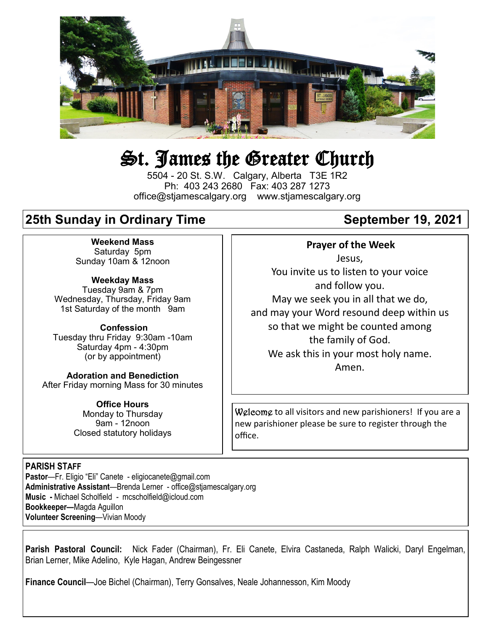

# St. James the Greater Church

5504 - 20 St. S.W. Calgary, Alberta T3E 1R2 Ph: 403 243 2680 Fax: 403 287 1273 office@stjamescalgary.org www.stjamescalgary.org

# **25th Sunday in Ordinary Time September 19, 2021**

**Weekend Mass** Saturday 5pm Sunday 10am & 12noon

**Weekday Mass** Tuesday 9am & 7pm Wednesday, Thursday, Friday 9am 1st Saturday of the month 9am

**Confession** Tuesday thru Friday 9:30am -10am Saturday 4pm - 4:30pm (or by appointment)

**Adoration and Benediction**  After Friday morning Mass for 30 minutes

> **Office Hours**  Monday to Thursday 9am - 12noon Closed statutory holidays

#### **Prayer of the Week**

Jesus, You invite us to listen to your voice and follow you. May we seek you in all that we do, and may your Word resound deep within us so that we might be counted among the family of God. We ask this in your most holy name. Amen.

Welcome to all visitors and new parishioners! If you are a new parishioner please be sure to register through the office.

#### **PARISH STAFF**

**Pastor**—Fr. Eligio "Eli" Canete - eligiocanete@gmail.com **Administrative Assistant**—Brenda Lerner - office@stjamescalgary.org **Music -** Michael Scholfield - mcscholfield@icloud.com **Bookkeeper—**Magda Aguillon **Volunteer Screening**—Vivian Moody

**Parish Pastoral Council:** Nick Fader (Chairman), Fr. Eli Canete, Elvira Castaneda, Ralph Walicki, Daryl Engelman, Brian Lerner, Mike Adelino, Kyle Hagan, Andrew Beingessner

**Finance Council**—Joe Bichel (Chairman), Terry Gonsalves, Neale Johannesson, Kim Moody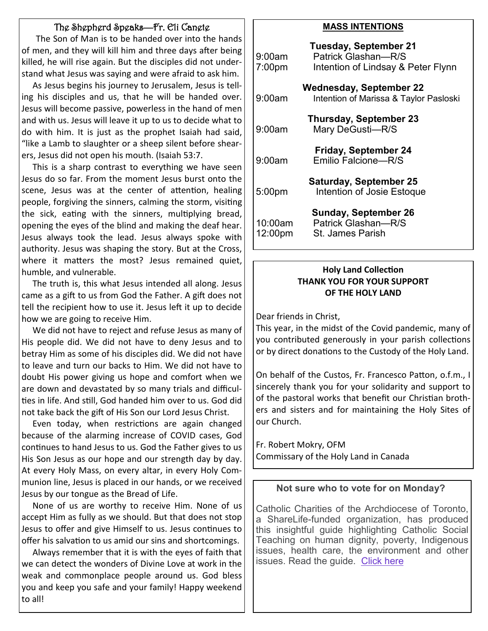#### The Shepherd Speaks—Fr. Eli Canete

 The Son of Man is to be handed over into the hands of men, and they will kill him and three days after being killed, he will rise again. But the disciples did not understand what Jesus was saying and were afraid to ask him.

 As Jesus begins his journey to Jerusalem, Jesus is telling his disciples and us, that he will be handed over. Jesus will become passive, powerless in the hand of men and with us. Jesus will leave it up to us to decide what to do with him. It is just as the prophet Isaiah had said, "like a Lamb to slaughter or a sheep silent before shearers, Jesus did not open his mouth. (Isaiah 53:7.

 This is a sharp contrast to everything we have seen Jesus do so far. From the moment Jesus burst onto the scene, Jesus was at the center of attention, healing people, forgiving the sinners, calming the storm, visiting the sick, eating with the sinners, multiplying bread, opening the eyes of the blind and making the deaf hear. Jesus always took the lead. Jesus always spoke with authority. Jesus was shaping the story. But at the Cross, where it matters the most? Jesus remained quiet, humble, and vulnerable.

 The truth is, this what Jesus intended all along. Jesus came as a gift to us from God the Father. A gift does not tell the recipient how to use it. Jesus left it up to decide how we are going to receive Him.

 We did not have to reject and refuse Jesus as many of His people did. We did not have to deny Jesus and to betray Him as some of his disciples did. We did not have to leave and turn our backs to Him. We did not have to doubt His power giving us hope and comfort when we are down and devastated by so many trials and difficulties in life. And still, God handed him over to us. God did not take back the gift of His Son our Lord Jesus Christ.

 Even today, when restrictions are again changed because of the alarming increase of COVID cases, God continues to hand Jesus to us. God the Father gives to us His Son Jesus as our hope and our strength day by day. At every Holy Mass, on every altar, in every Holy Communion line, Jesus is placed in our hands, or we received Jesus by our tongue as the Bread of Life.

 None of us are worthy to receive Him. None of us accept Him as fully as we should. But that does not stop Jesus to offer and give Himself to us. Jesus continues to offer his salvation to us amid our sins and shortcomings.

 Always remember that it is with the eyes of faith that we can detect the wonders of Divine Love at work in the weak and commonplace people around us. God bless you and keep you safe and your family! Happy weekend to all!

#### **MASS INTENTIONS**

| 9:00am<br>7:00pm   | <b>Tuesday, September 21</b><br>Patrick Glashan-R/S<br>Intention of Lindsay & Peter Flynn |
|--------------------|-------------------------------------------------------------------------------------------|
| 9:00am             | <b>Wednesday, September 22</b><br>Intention of Marissa & Taylor Pasloski                  |
| 9:00am             | <b>Thursday, September 23</b><br>Mary DeGusti-R/S                                         |
| 9:00am             | <b>Friday, September 24</b><br>Emilio Falcione-R/S                                        |
| 5:00pm             | <b>Saturday, September 25</b><br>Intention of Josie Estoque                               |
| 10:00am<br>12:00pm | <b>Sunday, September 26</b><br>Patrick Glashan-R/S<br><b>St. James Parish</b>             |

#### **Holy Land Collection THANK YOU FOR YOUR SUPPORT OF THE HOLY LAND**

Dear friends in Christ,

This year, in the midst of the Covid pandemic, many of you contributed generously in your parish collections or by direct donations to the Custody of the Holy Land.

On behalf of the Custos, Fr. Francesco Patton, o.f.m., I sincerely thank you for your solidarity and support to of the pastoral works that benefit our Christian brothers and sisters and for maintaining the Holy Sites of our Church.

Fr. Robert Mokry, OFM Commissary of the Holy Land in Canada

#### **Not sure who to vote for on Monday?**

Catholic Charities of the Archdiocese of Toronto, a ShareLife-funded organization, has produced this insightful guide highlighting Catholic Social Teaching on human dignity, poverty, Indigenous issues, health care, the environment and other issues. Read the guide. [Click here](https://catholiccharitiestor.org/getattachment/7f46f50e-eeb6-45ad-8141-320d7a78beb6/Election-Guide-2021-07Sept21.pdf.aspx?ext=.pdf)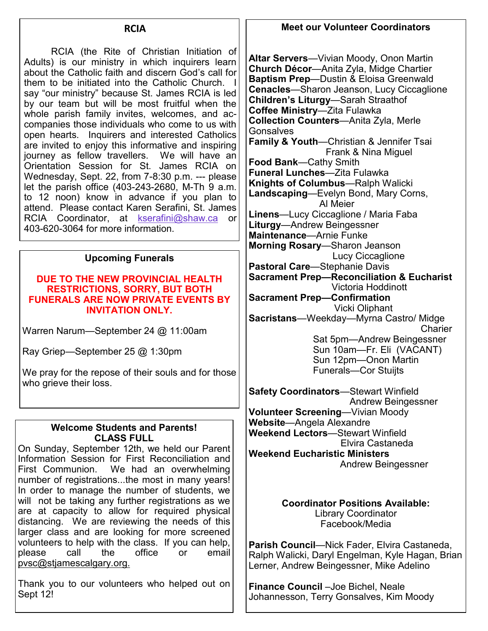#### **RCIA**

RCIA (the Rite of Christian Initiation of Adults) is our ministry in which inquirers learn about the Catholic faith and discern God's call for them to be initiated into the Catholic Church. I say "our ministry" because St. James RCIA is led by our team but will be most fruitful when the whole parish family invites, welcomes, and accompanies those individuals who come to us with open hearts. Inquirers and interested Catholics are invited to enjoy this informative and inspiring journey as fellow travellers. We will have an Orientation Session for St. James RCIA on Wednesday, Sept. 22, from 7-8:30 p.m. --- please let the parish office (403-243-2680, M-Th 9 a.m. to 12 noon) know in advance if you plan to attend. Please contact Karen Serafini, St. James RCIA Coordinator, at [kserafini@shaw.ca](mailto:kserafini@shaw.ca) or 403-620-3064 for more information.

#### **Upcoming Funerals**

#### **DUE TO THE NEW PROVINCIAL HEALTH RESTRICTIONS, SORRY, BUT BOTH FUNERALS ARE NOW PRIVATE EVENTS BY INVITATION ONLY.**

Warren Narum—September 24 @ 11:00am

Ray Griep—September 25 @ 1:30pm

We pray for the repose of their souls and for those who grieve their loss.

#### **Welcome Students and Parents! CLASS FULL**

On Sunday, September 12th, we held our Parent Information Session for First Reconciliation and First Communion. We had an overwhelming number of registrations...the most in many years! In order to manage the number of students, we will not be taking any further registrations as we are at capacity to allow for required physical distancing. We are reviewing the needs of this larger class and are looking for more screened volunteers to help with the class. If you can help,<br>please call the office or email please call the office or email pvsc@stjamescalgary.org.

Thank you to our volunteers who helped out on Sept 12!

#### **Meet our Volunteer Coordinators**

**Altar Servers**—Vivian Moody, Onon Martin **Church Décor**—Anita Zyla, Midge Chartier **Baptism Prep**—Dustin & Eloisa Greenwald **Cenacles**—Sharon Jeanson, Lucy Ciccaglione **Children's Liturgy**—Sarah Straathof **Coffee Ministry**—Zita Fulawka **Collection Counters**—Anita Zyla, Merle **Gonsalves Family & Youth**—Christian & Jennifer Tsai Frank & Nina Miguel **Food Bank**—Cathy Smith **Funeral Lunches**—Zita Fulawka **Knights of Columbus**—Ralph Walicki **Landscaping**—Evelyn Bond, Mary Corns, Al Meier **Linens**—Lucy Ciccaglione / Maria Faba **Liturgy**—Andrew Beingessner **Maintenance**—Arnie Funke **Morning Rosary**—Sharon Jeanson Lucy Ciccaglione **Pastoral Care**—Stephanie Davis **Sacrament Prep—Reconciliation & Eucharist** Victoria Hoddinott **Sacrament Prep—Confirmation** Vicki Oliphant **Sacristans**—Weekday—Myrna Castro/ Midge **Charier**  Sat 5pm—Andrew Beingessner Sun 10am—Fr. Eli (VACANT) Sun 12pm—Onon Martin Funerals—Cor Stuijts

**Safety Coordinators**—Stewart Winfield Andrew Beingessner **Volunteer Screening**—Vivian Moody **Website**—Angela Alexandre **Weekend Lectors**—Stewart Winfield Elvira Castaneda **Weekend Eucharistic Ministers** Andrew Beingessner

> **Coordinator Positions Available:** Library Coordinator Facebook/Media

**Parish Council**—Nick Fader, Elvira Castaneda, Ralph Walicki, Daryl Engelman, Kyle Hagan, Brian Lerner, Andrew Beingessner, Mike Adelino

**Finance Council** –Joe Bichel, Neale Johannesson, Terry Gonsalves, Kim Moody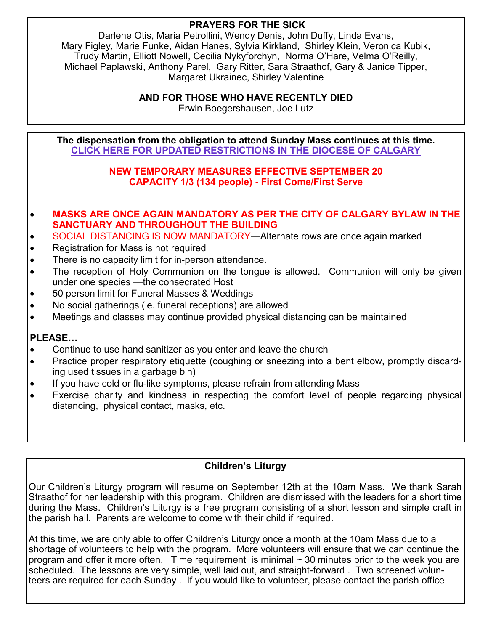#### **PRAYERS FOR THE SICK**

Darlene Otis, Maria Petrollini, Wendy Denis, John Duffy, Linda Evans, Mary Figley, Marie Funke, Aidan Hanes, Sylvia Kirkland, Shirley Klein, Veronica Kubik, Trudy Martin, Elliott Nowell, Cecilia Nykyforchyn, Norma O'Hare, Velma O'Reilly, Michael Paplawski, Anthony Parel, Gary Ritter, Sara Straathof, Gary & Janice Tipper, Margaret Ukrainec, Shirley Valentine

**AND FOR THOSE WHO HAVE RECENTLY DIED**

Erwin Boegershausen, Joe Lutz

**The dispensation from the obligation to attend Sunday Mass continues at this time. [CLlCK HERE FOR UPDATED RESTRICTIONS IN THE DIOCESE OF CALGARY](https://www.catholicyyc.ca/uploads/6/5/5/7/65570685/memorandum_temporary_measures_september_3_2021.pdf)**

#### **NEW TEMPORARY MEASURES EFFECTIVE SEPTEMBER 20 CAPACITY 1/3 (134 people) - First Come/First Serve**

- **MASKS ARE ONCE AGAIN MANDATORY AS PER THE CITY OF CALGARY BYLAW IN THE SANCTUARY AND THROUGHOUT THE BUILDING**
- SOCIAL DISTANCING IS NOW MANDATORY—Alternate rows are once again marked
- Registration for Mass is not required
- There is no capacity limit for in-person attendance.
- The reception of Holy Communion on the tongue is allowed. Communion will only be given under one species —the consecrated Host
- 50 person limit for Funeral Masses & Weddings
- No social gatherings (ie. funeral receptions) are allowed
- Meetings and classes may continue provided physical distancing can be maintained

#### **PLEASE…**

- Continue to use hand sanitizer as you enter and leave the church
- Practice proper respiratory etiquette (coughing or sneezing into a bent elbow, promptly discarding used tissues in a garbage bin)
- If you have cold or flu-like symptoms, please refrain from attending Mass
- Exercise charity and kindness in respecting the comfort level of people regarding physical distancing, physical contact, masks, etc.

### **Children's Liturgy**

Our Children's Liturgy program will resume on September 12th at the 10am Mass. We thank Sarah Straathof for her leadership with this program. Children are dismissed with the leaders for a short time during the Mass. Children's Liturgy is a free program consisting of a short lesson and simple craft in the parish hall. Parents are welcome to come with their child if required.

At this time, we are only able to offer Children's Liturgy once a month at the 10am Mass due to a shortage of volunteers to help with the program. More volunteers will ensure that we can continue the program and offer it more often. Time requirement is minimal  $\sim$  30 minutes prior to the week you are scheduled. The lessons are very simple, well laid out, and straight-forward . Two screened volunteers are required for each Sunday . If you would like to volunteer, please contact the parish office